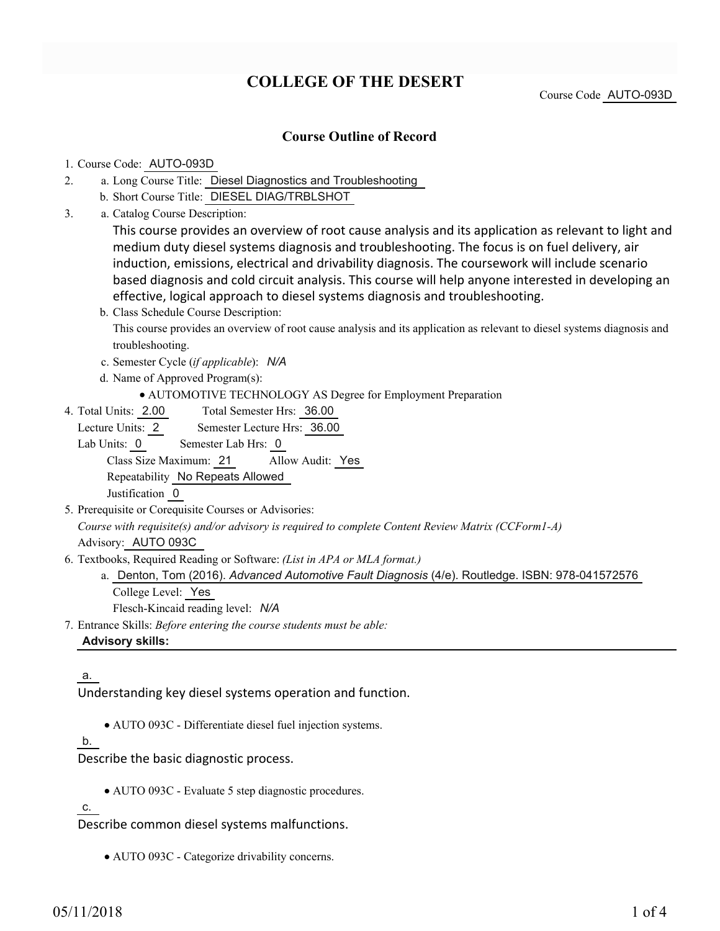# **COLLEGE OF THE DESERT**

Course Code AUTO-093D

# **Course Outline of Record**

#### 1. Course Code: AUTO-093D

- a. Long Course Title: Diesel Diagnostics and Troubleshooting 2.
	- b. Short Course Title: DIESEL DIAG/TRBLSHOT
- Catalog Course Description: a. 3.

This course provides an overview of root cause analysis and its application as relevant to light and medium duty diesel systems diagnosis and troubleshooting. The focus is on fuel delivery, air induction, emissions, electrical and drivability diagnosis. The coursework will include scenario based diagnosis and cold circuit analysis. This course will help anyone interested in developing an effective, logical approach to diesel systems diagnosis and troubleshooting.

- b. Class Schedule Course Description: This course provides an overview of root cause analysis and its application as relevant to diesel systems diagnosis and troubleshooting.
- c. Semester Cycle (*if applicable*): *N/A*
- d. Name of Approved Program(s):
	- AUTOMOTIVE TECHNOLOGY AS Degree for Employment Preparation
- Total Semester Hrs: 36.00 4. Total Units: 2.00

Lecture Units: 2 Semester Lecture Hrs: 36.00

Lab Units: 0 Semester Lab Hrs: 0 Class Size Maximum: 21 Allow Audit: Yes

Repeatability No Repeats Allowed

Justification 0

- 5. Prerequisite or Corequisite Courses or Advisories: *Course with requisite(s) and/or advisory is required to complete Content Review Matrix (CCForm1-A)* Advisory: AUTO 093C
- Textbooks, Required Reading or Software: *(List in APA or MLA format.)* 6.
	- a. Denton, Tom (2016). Advanced Automotive Fault Diagnosis (4/e). Routledge. ISBN: 978-041572576 College Level: Yes

Flesch-Kincaid reading level: *N/A*

Entrance Skills: *Before entering the course students must be able:* 7.

#### **Advisory skills:**

#### a.

Understanding key diesel systems operation and function.

AUTO 093C - Differentiate diesel fuel injection systems.

#### b.

Describe the basic diagnostic process.

AUTO 093C - Evaluate 5 step diagnostic procedures.

c.

Describe common diesel systems malfunctions.

AUTO 093C - Categorize drivability concerns.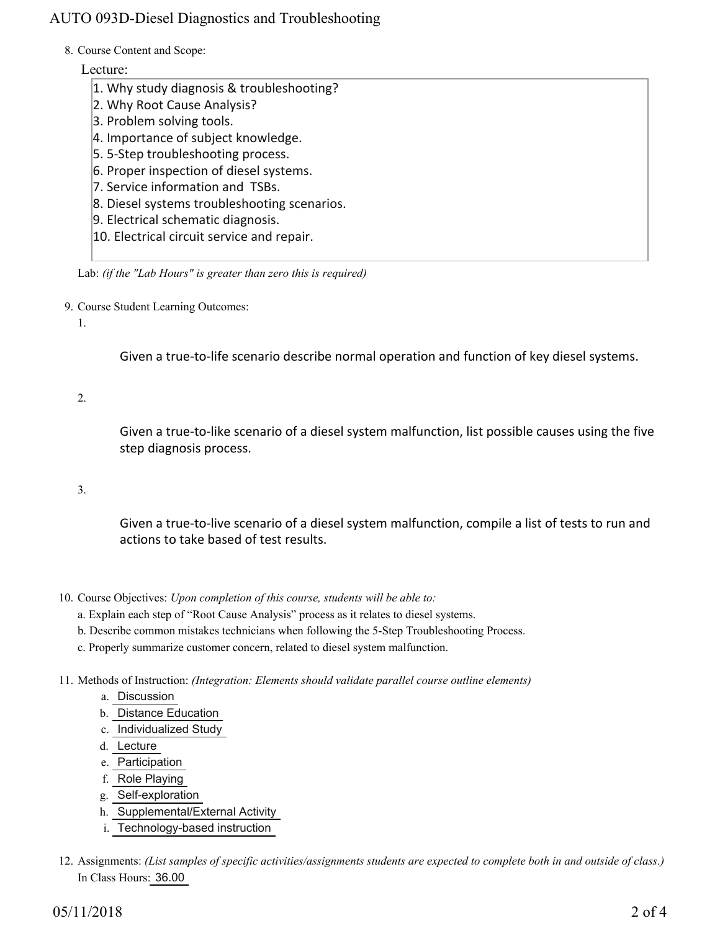# AUTO 093D-Diesel Diagnostics and Troubleshooting

#### 8. Course Content and Scope:

# Lecture:

- 1. Why study diagnosis & troubleshooting?
- 2. Why Root Cause Analysis?
- 3. Problem solving tools.
- 4. Importance of subject knowledge.
- 5. 5-Step troubleshooting process.
- 6. Proper inspection of diesel systems.
- 7. Service information and TSBs.
- 8. Diesel systems troubleshooting scenarios.
- 9. Electrical schematic diagnosis.
- 10. Electrical circuit service and repair.

Lab: *(if the "Lab Hours" is greater than zero this is required)*

9. Course Student Learning Outcomes:

1.

Given a true-to-life scenario describe normal operation and function of key diesel systems.

2.

Given a true-to-like scenario of a diesel system malfunction, list possible causes using the five step diagnosis process.

3.

Given a true-to-live scenario of a diesel system malfunction, compile a list of tests to run and actions to take based of test results.

- 10. Course Objectives: Upon completion of this course, students will be able to:
	- a. Explain each step of "Root Cause Analysis" process as it relates to diesel systems.
	- b. Describe common mistakes technicians when following the 5-Step Troubleshooting Process.
	- c. Properly summarize customer concern, related to diesel system malfunction.
- Methods of Instruction: *(Integration: Elements should validate parallel course outline elements)* 11.
	- a. Discussion
	- b. Distance Education
	- c. Individualized Study
	- d. Lecture
	- e. Participation
	- f. Role Playing
	- g. Self-exploration
	- h. Supplemental/External Activity
	- i. Technology-based instruction
- 12. Assignments: (List samples of specific activities/assignments students are expected to complete both in and outside of class.) In Class Hours: 36.00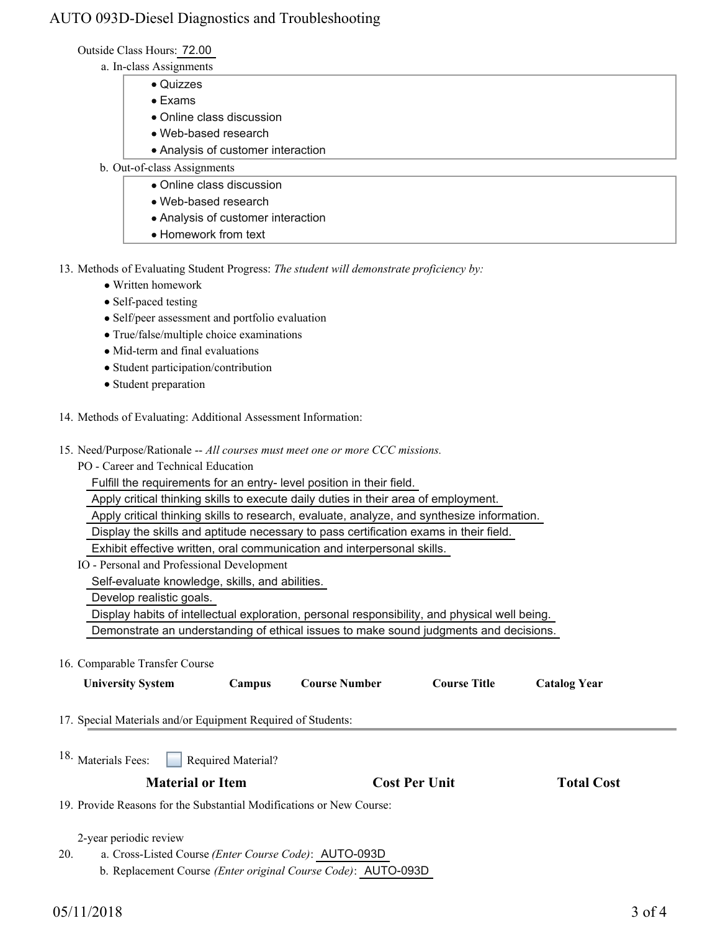# AUTO 093D-Diesel Diagnostics and Troubleshooting

Outside Class Hours: 72.00

- a. In-class Assignments
	- Quizzes
	- Exams
	- Online class discussion
	- Web-based research
	- Analysis of customer interaction
- b. Out-of-class Assignments
	- Online class discussion
		- Web-based research
		- Analysis of customer interaction
	- Homework from text

13. Methods of Evaluating Student Progress: The student will demonstrate proficiency by:

- Written homework
- Self-paced testing
- Self/peer assessment and portfolio evaluation
- True/false/multiple choice examinations
- Mid-term and final evaluations
- Student participation/contribution
- Student preparation
- 14. Methods of Evaluating: Additional Assessment Information:
- 15. Need/Purpose/Rationale -- All courses must meet one or more CCC missions.
	- PO Career and Technical Education

Fulfill the requirements for an entry- level position in their field.

Apply critical thinking skills to execute daily duties in their area of employment.

Apply critical thinking skills to research, evaluate, analyze, and synthesize information.

Display the skills and aptitude necessary to pass certification exams in their field.

Exhibit effective written, oral communication and interpersonal skills.

IO - Personal and Professional Development

Self-evaluate knowledge, skills, and abilities.

Develop realistic goals.

Display habits of intellectual exploration, personal responsibility, and physical well being.

Demonstrate an understanding of ethical issues to make sound judgments and decisions.

16. Comparable Transfer Course

| <b>University System</b>                                             | Campus             | <b>Course Number</b> | <b>Course Title</b>  | <b>Catalog Year</b> |  |
|----------------------------------------------------------------------|--------------------|----------------------|----------------------|---------------------|--|
| 17. Special Materials and/or Equipment Required of Students:         |                    |                      |                      |                     |  |
| 18. Materials Fees:                                                  | Required Material? |                      |                      |                     |  |
| <b>Material or Item</b>                                              |                    |                      | <b>Cost Per Unit</b> | <b>Total Cost</b>   |  |
| 19. Provide Reasons for the Substantial Modifications or New Course: |                    |                      |                      |                     |  |
| 2-year periodic review                                               |                    |                      |                      |                     |  |
| 20.<br>a. Cross-Listed Course (Enter Course Code): AUTO-093D         |                    |                      |                      |                     |  |

b. Replacement Course *(Enter original Course Code)*: AUTO-093D